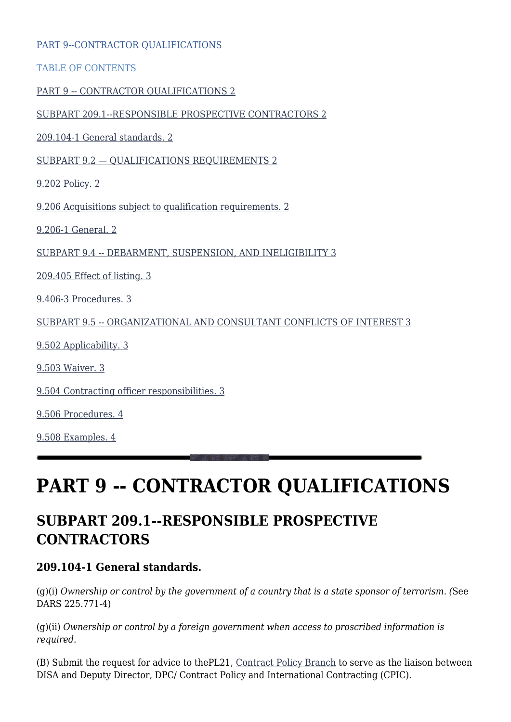| PART 9--CONTRACTOR QUALIFICATIONS                                    |  |
|----------------------------------------------------------------------|--|
| <b>TABLE OF CONTENTS</b>                                             |  |
| PART 9 -- CONTRACTOR QUALIFICATIONS 2                                |  |
| SUBPART 209.1--RESPONSIBLE PROSPECTIVE CONTRACTORS 2                 |  |
| 209.104-1 General standards. 2                                       |  |
| SUBPART 9.2 - QUALIFICATIONS REQUIREMENTS 2                          |  |
| 9.202 Policy. 2                                                      |  |
| 9.206 Acquisitions subject to qualification requirements. 2          |  |
| 9.206-1 General. 2                                                   |  |
| SUBPART 9.4 -- DEBARMENT, SUSPENSION, AND INELIGIBILITY 3            |  |
| 209.405 Effect of listing. 3                                         |  |
| 9.406-3 Procedures. 3                                                |  |
| SUBPART 9.5 -- ORGANIZATIONAL AND CONSULTANT CONFLICTS OF INTEREST 3 |  |
| 9.502 Applicability. 3                                               |  |
| 9.503 Waiver. 3                                                      |  |
| 9.504 Contracting officer responsibilities. 3                        |  |
| 9.506 Procedures. 4                                                  |  |
| 9.508 Examples. 4                                                    |  |
|                                                                      |  |

# **PART 9 -- CONTRACTOR QUALIFICATIONS**

### **SUBPART 209.1--RESPONSIBLE PROSPECTIVE CONTRACTORS**

#### **209.104-1 General standards.**

(g)(i) *Ownership or control by the government of a country that is a state sponsor of terrorism. (*See DARS 225.771-4)

(g)(ii) *Ownership or control by a foreign government when access to proscribed information is required.*

(B) Submit the request for advice to thePL21, [Contract Policy Branch](mailto:disa.meade.PLD.mbx.pl21-policy-branch@mail.mil) to serve as the liaison between DISA and Deputy Director, DPC/ Contract Policy and International Contracting (CPIC).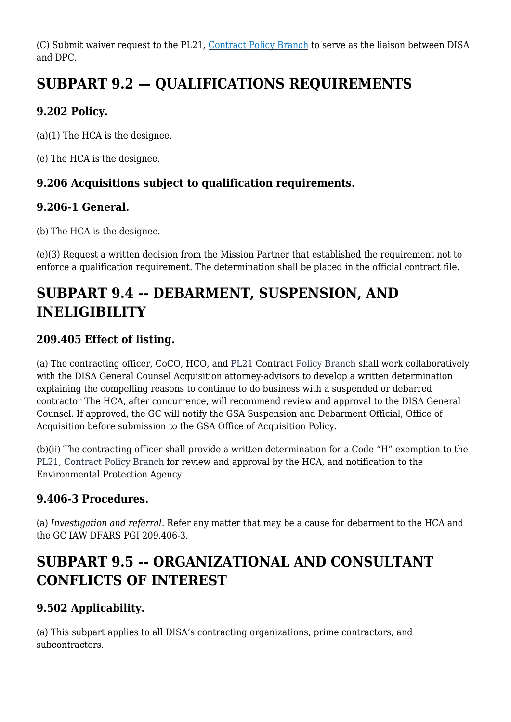(C) Submit waiver request to the PL21, [Contract Policy Branch](mailto:disa.meade.PLD.mbx.pl21-policy-branch@mail.mil) to serve as the liaison between DISA and DPC.

# **SUBPART 9.2 — QUALIFICATIONS REQUIREMENTS**

#### **9.202 Policy.**

(a)(1) The HCA is the designee.

(e) The HCA is the designee.

#### **9.206 Acquisitions subject to qualification requirements.**

#### **9.206-1 General.**

(b) The HCA is the designee.

(e)(3) Request a written decision from the Mission Partner that established the requirement not to enforce a qualification requirement. The determination shall be placed in the official contract file.

# **SUBPART 9.4 -- DEBARMENT, SUSPENSION, AND INELIGIBILITY**

#### **209.405 Effect of listing.**

(a) The contracting officer, CoCO, HCO, and [PL21](mailto:disa.meade.PLD.mbx.pl21-policy-branch@mail.mil) Contrac[t Policy Branch](mailto:disa.meade.PLD.mbx.pl21-policy-branch@mail.mil) shall work collaboratively with the DISA General Counsel Acquisition attorney-advisors to develop a written determination explaining the compelling reasons to continue to do business with a suspended or debarred contractor The HCA, after concurrence, will recommend review and approval to the DISA General Counsel. If approved, the GC will notify the GSA Suspension and Debarment Official, Office of Acquisition before submission to the GSA Office of Acquisition Policy.

(b)(ii) The contracting officer shall provide a written determination for a Code "H" exemption to the [PL21, Contract Policy Branch](mailto:disa.meade.PLD.mbx.pl21-policy-branch@mail.mil) for review and approval by the HCA, and notification to the Environmental Protection Agency.

#### **9.406-3 Procedures.**

(a) *Investigation and referral.* Refer any matter that may be a cause for debarment to the HCA and the GC IAW DFARS PGI 209.406-3.

# **SUBPART 9.5 -- ORGANIZATIONAL AND CONSULTANT CONFLICTS OF INTEREST**

#### **9.502 Applicability.**

(a) This subpart applies to all DISA's contracting organizations, prime contractors, and subcontractors.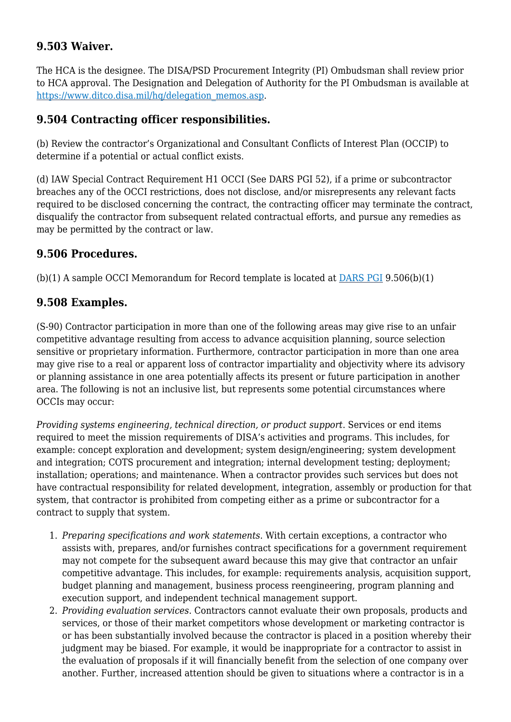#### **9.503 Waiver.**

The HCA is the designee. The DISA/PSD Procurement Integrity (PI) Ombudsman shall review prior to HCA approval. The Designation and Delegation of Authority for the PI Ombudsman is available at [https://www.ditco.disa.mil/hq/delegation\\_memos.asp.](https://www.ditco.disa.mil/hq/delegation_memos.asp)

#### **9.504 Contracting officer responsibilities.**

(b) Review the contractor's Organizational and Consultant Conflicts of Interest Plan (OCCIP) to determine if a potential or actual conflict exists.

(d) IAW Special Contract Requirement H1 OCCI (See DARS PGI 52), if a prime or subcontractor breaches any of the OCCI restrictions, does not disclose, and/or misrepresents any relevant facts required to be disclosed concerning the contract, the contracting officer may terminate the contract, disqualify the contractor from subsequent related contractual efforts, and pursue any remedies as may be permitted by the contract or law.

#### **9.506 Procedures.**

(b)(1) A sample OCCI Memorandum for Record template is located at [DARS PGI](https://disa.deps.mil/org/PL2/Pages/DITCORefs.aspx) 9.506(b)(1)

#### **9.508 Examples.**

(S-90) Contractor participation in more than one of the following areas may give rise to an unfair competitive advantage resulting from access to advance acquisition planning, source selection sensitive or proprietary information. Furthermore, contractor participation in more than one area may give rise to a real or apparent loss of contractor impartiality and objectivity where its advisory or planning assistance in one area potentially affects its present or future participation in another area. The following is not an inclusive list, but represents some potential circumstances where OCCIs may occur:

*Providing systems engineering, technical direction, or product support*. Services or end items required to meet the mission requirements of DISA's activities and programs. This includes, for example: concept exploration and development; system design/engineering; system development and integration; COTS procurement and integration; internal development testing; deployment; installation; operations; and maintenance. When a contractor provides such services but does not have contractual responsibility for related development, integration, assembly or production for that system, that contractor is prohibited from competing either as a prime or subcontractor for a contract to supply that system.

- 1. *Preparing specifications and work statements*. With certain exceptions, a contractor who assists with, prepares, and/or furnishes contract specifications for a government requirement may not compete for the subsequent award because this may give that contractor an unfair competitive advantage. This includes, for example: requirements analysis, acquisition support, budget planning and management, business process reengineering, program planning and execution support, and independent technical management support.
- 2. *Providing evaluation services*. Contractors cannot evaluate their own proposals, products and services, or those of their market competitors whose development or marketing contractor is or has been substantially involved because the contractor is placed in a position whereby their judgment may be biased. For example, it would be inappropriate for a contractor to assist in the evaluation of proposals if it will financially benefit from the selection of one company over another. Further, increased attention should be given to situations where a contractor is in a